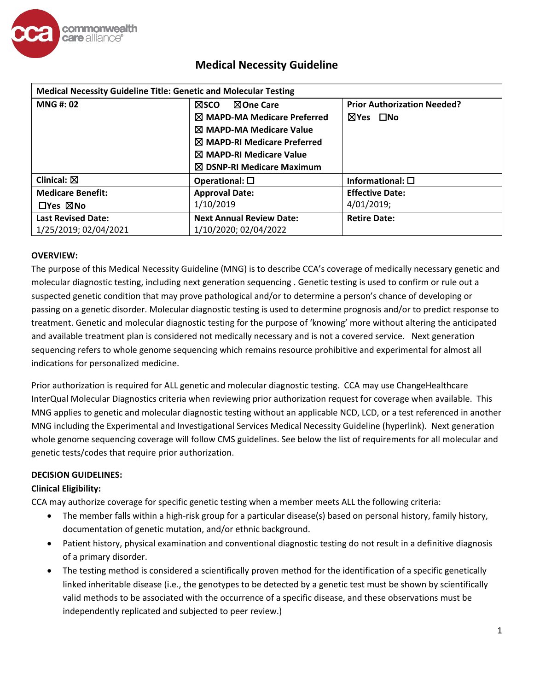

| <b>Medical Necessity Guideline Title: Genetic and Molecular Testing</b> |                                        |                                    |  |  |
|-------------------------------------------------------------------------|----------------------------------------|------------------------------------|--|--|
| <b>MNG#: 02</b>                                                         | ⊠One Care<br><b>NSCO</b>               | <b>Prior Authorization Needed?</b> |  |  |
|                                                                         | $\boxtimes$ MAPD-MA Medicare Preferred | ⊠Yes □No                           |  |  |
|                                                                         | $\boxtimes$ MAPD-MA Medicare Value     |                                    |  |  |
|                                                                         | ⊠ MAPD-RI Medicare Preferred           |                                    |  |  |
|                                                                         | $\boxtimes$ MAPD-RI Medicare Value     |                                    |  |  |
|                                                                         | $\boxtimes$ DSNP-RI Medicare Maximum   |                                    |  |  |
| Clinical: $\boxtimes$                                                   | Operational: $\square$                 | Informational: $\square$           |  |  |
| <b>Medicare Benefit:</b>                                                | <b>Approval Date:</b>                  | <b>Effective Date:</b>             |  |  |
| $\Box$ Yes $\boxtimes$ No                                               | 1/10/2019                              | 4/01/2019;                         |  |  |
| <b>Last Revised Date:</b>                                               | <b>Next Annual Review Date:</b>        | <b>Retire Date:</b>                |  |  |
| 1/25/2019; 02/04/2021                                                   | 1/10/2020; 02/04/2022                  |                                    |  |  |

#### **OVERVIEW:**

The purpose of this Medical Necessity Guideline (MNG) is to describe CCA's coverage of medically necessary genetic and molecular diagnostic testing, including next generation sequencing . Genetic testing is used to confirm or rule out a suspected genetic condition that may prove pathological and/or to determine a person's chance of developing or passing on a genetic disorder. Molecular diagnostic testing is used to determine prognosis and/or to predict response to treatment. Genetic and molecular diagnostic testing for the purpose of 'knowing' more without altering the anticipated and available treatment plan is considered not medically necessary and is not a covered service. Next generation sequencing refers to whole genome sequencing which remains resource prohibitive and experimental for almost all indications for personalized medicine.

Prior authorization is required for ALL genetic and molecular diagnostic testing. CCA may use ChangeHealthcare InterQual Molecular Diagnostics criteria when reviewing prior authorization request for coverage when available. This MNG applies to genetic and molecular diagnostic testing without an applicable NCD, LCD, or a test referenced in another MNG including the Experimental and Investigational Services Medical Necessity Guideline (hyperlink). Next generation whole genome sequencing coverage will follow CMS guidelines. See below the list of requirements for all molecular and genetic tests/codes that require prior authorization.

#### **DECISION GUIDELINES:**

#### **Clinical Eligibility:**

CCA may authorize coverage for specific genetic testing when a member meets ALL the following criteria:

- The member falls within a high-risk group for a particular disease(s) based on personal history, family history, documentation of genetic mutation, and/or ethnic background.
- Patient history, physical examination and conventional diagnostic testing do not result in a definitive diagnosis of a primary disorder.
- The testing method is considered a scientifically proven method for the identification of a specific genetically linked inheritable disease (i.e., the genotypes to be detected by a genetic test must be shown by scientifically valid methods to be associated with the occurrence of a specific disease, and these observations must be independently replicated and subjected to peer review.)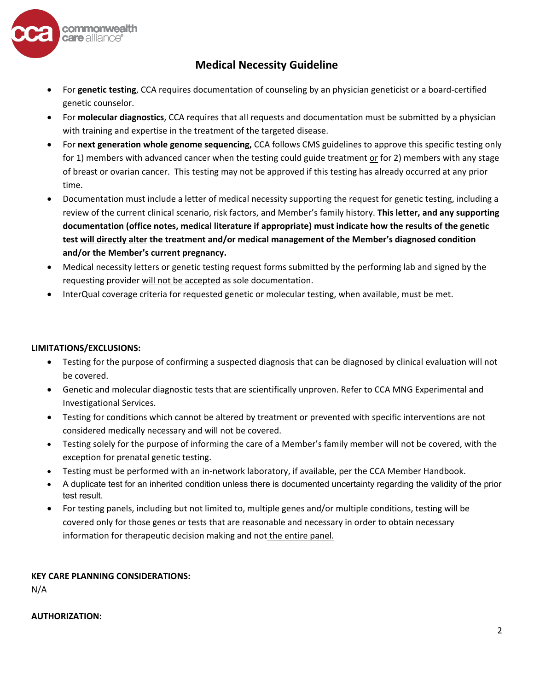

- For **genetic testing**, CCA requires documentation of counseling by an physician geneticist or a board-certified genetic counselor.
- For **molecular diagnostics**, CCA requires that all requests and documentation must be submitted by a physician with training and expertise in the treatment of the targeted disease.
- For **next generation whole genome sequencing,** CCA follows CMS guidelines to approve this specific testing only for 1) members with advanced cancer when the testing could guide treatment or for 2) members with any stage of breast or ovarian cancer. This testing may not be approved if this testing has already occurred at any prior time.
- Documentation must include a letter of medical necessity supporting the request for genetic testing, including a review of the current clinical scenario, risk factors, and Member's family history. **This letter, and any supporting documentation (office notes, medical literature if appropriate) must indicate how the results of the genetic test will directly alter the treatment and/or medical management of the Member's diagnosed condition and/or the Member's current pregnancy.**
- Medical necessity letters or genetic testing request forms submitted by the performing lab and signed by the requesting provider will not be accepted as sole documentation.
- InterQual coverage criteria for requested genetic or molecular testing, when available, must be met.

### **LIMITATIONS/EXCLUSIONS:**

- Testing for the purpose of confirming a suspected diagnosis that can be diagnosed by clinical evaluation will not be covered.
- Genetic and molecular diagnostic tests that are scientifically unproven. Refer to CCA MNG Experimental and Investigational Services.
- Testing for conditions which cannot be altered by treatment or prevented with specific interventions are not considered medically necessary and will not be covered.
- Testing solely for the purpose of informing the care of a Member's family member will not be covered, with the exception for prenatal genetic testing.
- Testing must be performed with an in-network laboratory, if available, per the CCA Member Handbook.
- A duplicate test for an inherited condition unless there is documented uncertainty regarding the validity of the prior test result.
- For testing panels, including but not limited to, multiple genes and/or multiple conditions, testing will be covered only for those genes or tests that are reasonable and necessary in order to obtain necessary information for therapeutic decision making and not the entire panel.

## **KEY CARE PLANNING CONSIDERATIONS:**

N/A

#### **AUTHORIZATION:**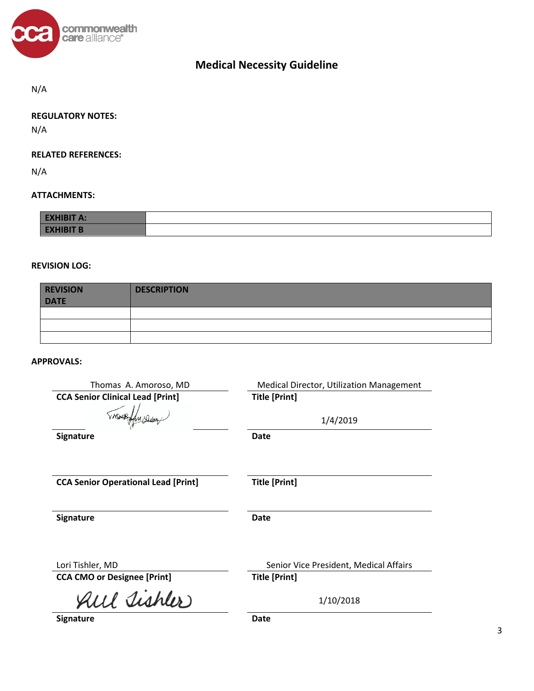

N/A

## **REGULATORY NOTES:**

N/A

#### **RELATED REFERENCES:**

N/A

### **ATTACHMENTS:**

| <b>EXHIBIT A:</b> |  |
|-------------------|--|
| <b>EXHIBIT B</b>  |  |

#### **REVISION LOG:**

| <b>REVISION</b><br><b>DATE</b> | <b>DESCRIPTION</b> |
|--------------------------------|--------------------|
|                                |                    |
|                                |                    |
|                                |                    |

**APPROVALS:**

| Thomas A. Amoroso, MD                      | <b>Medical Director, Utilization Management</b> |  |
|--------------------------------------------|-------------------------------------------------|--|
| <b>CCA Senior Clinical Lead [Print]</b>    | <b>Title [Print]</b>                            |  |
|                                            | 1/4/2019                                        |  |
| Signature                                  | <b>Date</b>                                     |  |
| <b>CCA Senior Operational Lead [Print]</b> | <b>Title [Print]</b>                            |  |
| Signature                                  | <b>Date</b>                                     |  |
| Lori Tishler, MD                           | Senior Vice President, Medical Affairs          |  |
| <b>CCA CMO or Designee [Print]</b>         | <b>Title [Print]</b>                            |  |
| All Tishler                                | 1/10/2018                                       |  |
| Signature                                  | <b>Date</b>                                     |  |